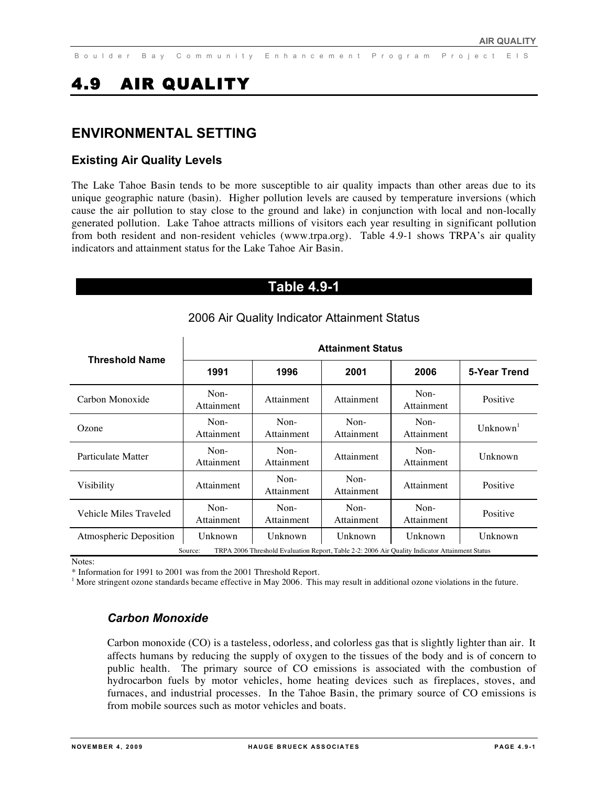# 4.9 AIR QUALITY

### **ENVIRONMENTAL SETTING**

### **Existing Air Quality Levels**

The Lake Tahoe Basin tends to be more susceptible to air quality impacts than other areas due to its unique geographic nature (basin). Higher pollution levels are caused by temperature inversions (which cause the air pollution to stay close to the ground and lake) in conjunction with local and non-locally generated pollution. Lake Tahoe attracts millions of visitors each year resulting in significant pollution from both resident and non-resident vehicles (www.trpa.org). Table 4.9-1 shows TRPA's air quality indicators and attainment status for the Lake Tahoe Air Basin.

### **Table 4.9-1**

|                        | <b>Attainment Status</b> |                      |                                                                                                |                      |                    |  |
|------------------------|--------------------------|----------------------|------------------------------------------------------------------------------------------------|----------------------|--------------------|--|
| <b>Threshold Name</b>  | 1991                     | 1996                 | 2001                                                                                           | 2006                 | 5-Year Trend       |  |
| Carbon Monoxide        | Non-<br>Attainment       | Attainment           | Attainment                                                                                     | $Non-$<br>Attainment | Positive           |  |
| Ozone                  | $Non-$<br>Attainment     | $Non-$<br>Attainment | $Non-$<br>Attainment                                                                           | $Non-$<br>Attainment | $\text{Unknown}^1$ |  |
| Particulate Matter     | $Non-$<br>Attainment     | $Non-$<br>Attainment | Attainment                                                                                     | $Non-$<br>Attainment | Unknown            |  |
| Visibility             | Attainment               | $Non-$<br>Attainment | $Non-$<br>Attainment                                                                           | Attainment           | Positive           |  |
| Vehicle Miles Traveled | $Non-$<br>Attainment     | $Non-$<br>Attainment | $Non-$<br>Attainment                                                                           | $Non-$<br>Attainment | Positive           |  |
| Atmospheric Deposition | Unknown                  | Unknown              | Unknown                                                                                        | Unknown              | Unknown            |  |
|                        | Source:                  |                      | TRPA 2006 Threshold Evaluation Report, Table 2-2: 2006 Air Quality Indicator Attainment Status |                      |                    |  |

### 2006 Air Quality Indicator Attainment Status

Notes:

\* Information for 1991 to 2001 was from the 2001 Threshold Report.

<sup>1</sup> More stringent ozone standards became effective in May 2006. This may result in additional ozone violations in the future.

### *Carbon Monoxide*

Carbon monoxide (CO) is a tasteless, odorless, and colorless gas that is slightly lighter than air. It affects humans by reducing the supply of oxygen to the tissues of the body and is of concern to public health. The primary source of CO emissions is associated with the combustion of hydrocarbon fuels by motor vehicles, home heating devices such as fireplaces, stoves, and furnaces, and industrial processes. In the Tahoe Basin, the primary source of CO emissions is from mobile sources such as motor vehicles and boats.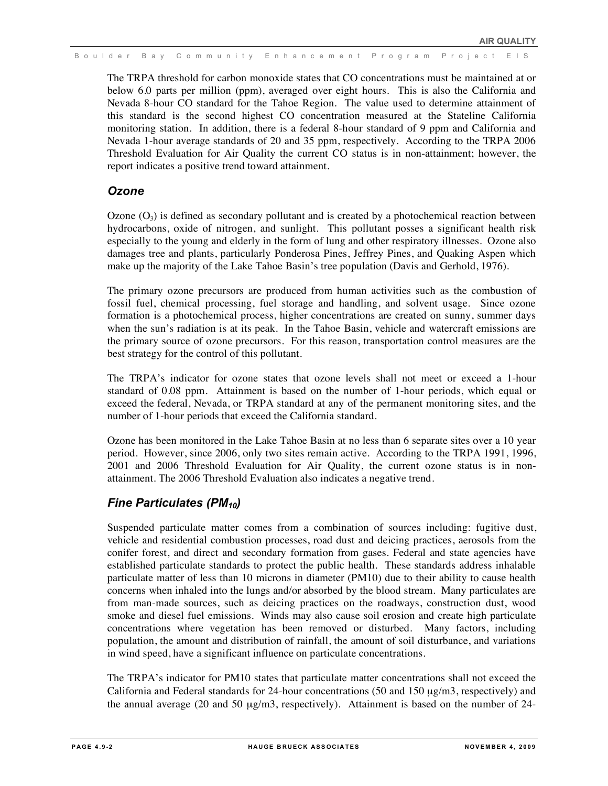The TRPA threshold for carbon monoxide states that CO concentrations must be maintained at or below 6.0 parts per million (ppm), averaged over eight hours. This is also the California and Nevada 8-hour CO standard for the Tahoe Region. The value used to determine attainment of this standard is the second highest CO concentration measured at the Stateline California monitoring station. In addition, there is a federal 8-hour standard of 9 ppm and California and Nevada 1-hour average standards of 20 and 35 ppm, respectively. According to the TRPA 2006 Threshold Evaluation for Air Quality the current CO status is in non-attainment; however, the report indicates a positive trend toward attainment.

### *Ozone*

Ozone  $(O_3)$  is defined as secondary pollutant and is created by a photochemical reaction between hydrocarbons, oxide of nitrogen, and sunlight. This pollutant posses a significant health risk especially to the young and elderly in the form of lung and other respiratory illnesses. Ozone also damages tree and plants, particularly Ponderosa Pines, Jeffrey Pines, and Quaking Aspen which make up the majority of the Lake Tahoe Basin's tree population (Davis and Gerhold, 1976).

The primary ozone precursors are produced from human activities such as the combustion of fossil fuel, chemical processing, fuel storage and handling, and solvent usage. Since ozone formation is a photochemical process, higher concentrations are created on sunny, summer days when the sun's radiation is at its peak. In the Tahoe Basin, vehicle and watercraft emissions are the primary source of ozone precursors. For this reason, transportation control measures are the best strategy for the control of this pollutant.

The TRPA's indicator for ozone states that ozone levels shall not meet or exceed a 1-hour standard of 0.08 ppm. Attainment is based on the number of 1-hour periods, which equal or exceed the federal, Nevada, or TRPA standard at any of the permanent monitoring sites, and the number of 1-hour periods that exceed the California standard.

Ozone has been monitored in the Lake Tahoe Basin at no less than 6 separate sites over a 10 year period. However, since 2006, only two sites remain active. According to the TRPA 1991, 1996, 2001 and 2006 Threshold Evaluation for Air Quality, the current ozone status is in nonattainment. The 2006 Threshold Evaluation also indicates a negative trend.

### *Fine Particulates (PM10)*

Suspended particulate matter comes from a combination of sources including: fugitive dust, vehicle and residential combustion processes, road dust and deicing practices, aerosols from the conifer forest, and direct and secondary formation from gases. Federal and state agencies have established particulate standards to protect the public health. These standards address inhalable particulate matter of less than 10 microns in diameter (PM10) due to their ability to cause health concerns when inhaled into the lungs and/or absorbed by the blood stream. Many particulates are from man-made sources, such as deicing practices on the roadways, construction dust, wood smoke and diesel fuel emissions. Winds may also cause soil erosion and create high particulate concentrations where vegetation has been removed or disturbed. Many factors, including population, the amount and distribution of rainfall, the amount of soil disturbance, and variations in wind speed, have a significant influence on particulate concentrations.

The TRPA's indicator for PM10 states that particulate matter concentrations shall not exceed the California and Federal standards for 24-hour concentrations (50 and 150 µg/m3, respectively) and the annual average (20 and 50 µg/m3, respectively). Attainment is based on the number of 24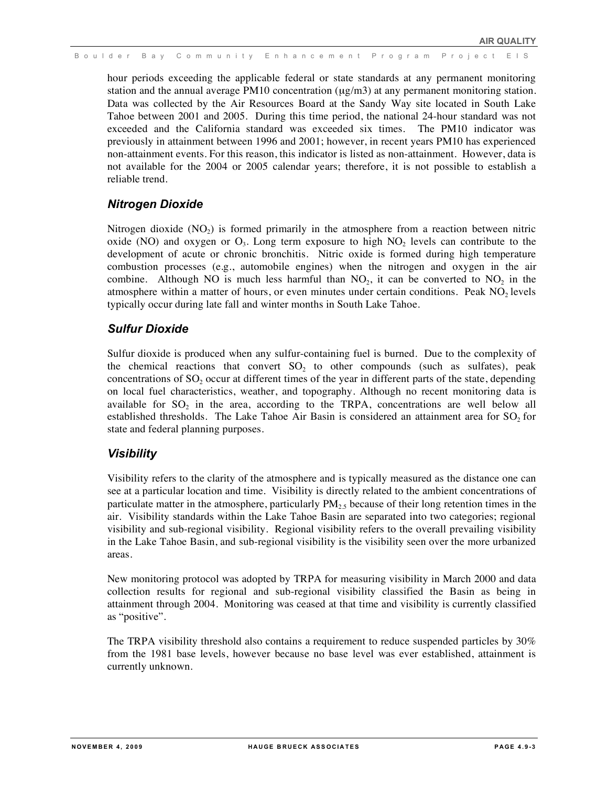hour periods exceeding the applicable federal or state standards at any permanent monitoring station and the annual average PM10 concentration  $(\mu g/m3)$  at any permanent monitoring station. Data was collected by the Air Resources Board at the Sandy Way site located in South Lake Tahoe between 2001 and 2005. During this time period, the national 24-hour standard was not exceeded and the California standard was exceeded six times. The PM10 indicator was previously in attainment between 1996 and 2001; however, in recent years PM10 has experienced non-attainment events. For this reason, this indicator is listed as non-attainment. However, data is not available for the 2004 or 2005 calendar years; therefore, it is not possible to establish a reliable trend.

### *Nitrogen Dioxide*

Nitrogen dioxide  $(NO<sub>2</sub>)$  is formed primarily in the atmosphere from a reaction between nitric oxide (NO) and oxygen or  $O_3$ . Long term exposure to high  $NO_2$  levels can contribute to the development of acute or chronic bronchitis. Nitric oxide is formed during high temperature combustion processes (e.g., automobile engines) when the nitrogen and oxygen in the air combine. Although NO is much less harmful than  $NO<sub>2</sub>$ , it can be converted to  $NO<sub>2</sub>$  in the atmosphere within a matter of hours, or even minutes under certain conditions. Peak  $NO<sub>2</sub>$  levels typically occur during late fall and winter months in South Lake Tahoe.

### *Sulfur Dioxide*

Sulfur dioxide is produced when any sulfur-containing fuel is burned. Due to the complexity of the chemical reactions that convert  $SO<sub>2</sub>$  to other compounds (such as sulfates), peak concentrations of  $SO<sub>2</sub>$  occur at different times of the year in different parts of the state, depending on local fuel characteristics, weather, and topography. Although no recent monitoring data is available for  $SO_2$  in the area, according to the TRPA, concentrations are well below all established thresholds. The Lake Tahoe Air Basin is considered an attainment area for  $SO<sub>2</sub>$  for state and federal planning purposes.

### *Visibility*

Visibility refers to the clarity of the atmosphere and is typically measured as the distance one can see at a particular location and time. Visibility is directly related to the ambient concentrations of particulate matter in the atmosphere, particularly  $PM_{2.5}$  because of their long retention times in the air. Visibility standards within the Lake Tahoe Basin are separated into two categories; regional visibility and sub-regional visibility. Regional visibility refers to the overall prevailing visibility in the Lake Tahoe Basin, and sub-regional visibility is the visibility seen over the more urbanized areas.

New monitoring protocol was adopted by TRPA for measuring visibility in March 2000 and data collection results for regional and sub-regional visibility classified the Basin as being in attainment through 2004. Monitoring was ceased at that time and visibility is currently classified as "positive".

The TRPA visibility threshold also contains a requirement to reduce suspended particles by 30% from the 1981 base levels, however because no base level was ever established, attainment is currently unknown.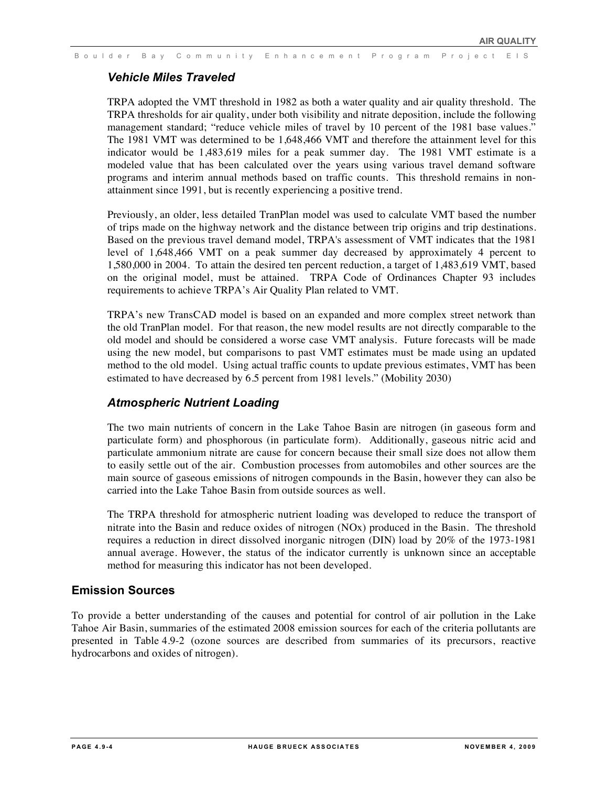### *Vehicle Miles Traveled*

TRPA adopted the VMT threshold in 1982 as both a water quality and air quality threshold. The TRPA thresholds for air quality, under both visibility and nitrate deposition, include the following management standard; "reduce vehicle miles of travel by 10 percent of the 1981 base values." The 1981 VMT was determined to be 1,648,466 VMT and therefore the attainment level for this indicator would be 1,483,619 miles for a peak summer day. The 1981 VMT estimate is a modeled value that has been calculated over the years using various travel demand software programs and interim annual methods based on traffic counts. This threshold remains in nonattainment since 1991, but is recently experiencing a positive trend.

Previously, an older, less detailed TranPlan model was used to calculate VMT based the number of trips made on the highway network and the distance between trip origins and trip destinations. Based on the previous travel demand model, TRPA's assessment of VMT indicates that the 1981 level of 1,648,466 VMT on a peak summer day decreased by approximately 4 percent to 1,580,000 in 2004. To attain the desired ten percent reduction, a target of 1,483,619 VMT, based on the original model, must be attained. TRPA Code of Ordinances Chapter 93 includes requirements to achieve TRPA's Air Quality Plan related to VMT.

TRPA's new TransCAD model is based on an expanded and more complex street network than the old TranPlan model. For that reason, the new model results are not directly comparable to the old model and should be considered a worse case VMT analysis. Future forecasts will be made using the new model, but comparisons to past VMT estimates must be made using an updated method to the old model. Using actual traffic counts to update previous estimates, VMT has been estimated to have decreased by 6.5 percent from 1981 levels." (Mobility 2030)

### *Atmospheric Nutrient Loading*

The two main nutrients of concern in the Lake Tahoe Basin are nitrogen (in gaseous form and particulate form) and phosphorous (in particulate form). Additionally, gaseous nitric acid and particulate ammonium nitrate are cause for concern because their small size does not allow them to easily settle out of the air. Combustion processes from automobiles and other sources are the main source of gaseous emissions of nitrogen compounds in the Basin, however they can also be carried into the Lake Tahoe Basin from outside sources as well.

The TRPA threshold for atmospheric nutrient loading was developed to reduce the transport of nitrate into the Basin and reduce oxides of nitrogen (NOx) produced in the Basin. The threshold requires a reduction in direct dissolved inorganic nitrogen (DIN) load by 20% of the 1973-1981 annual average. However, the status of the indicator currently is unknown since an acceptable method for measuring this indicator has not been developed.

### **Emission Sources**

To provide a better understanding of the causes and potential for control of air pollution in the Lake Tahoe Air Basin, summaries of the estimated 2008 emission sources for each of the criteria pollutants are presented in Table 4.9-2 (ozone sources are described from summaries of its precursors, reactive hydrocarbons and oxides of nitrogen).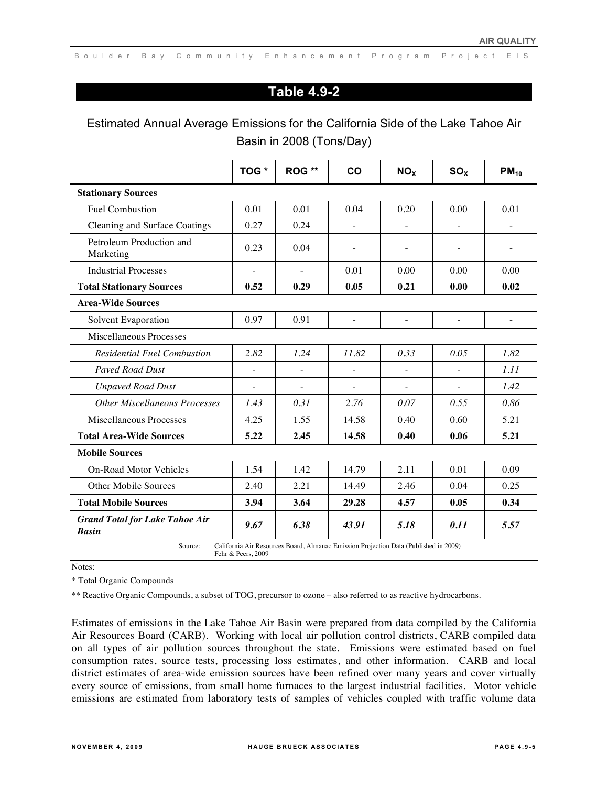# **Table 4.9-2**

# Estimated Annual Average Emissions for the California Side of the Lake Tahoe Air Basin in 2008 (Tons/Day)

|                                                       | TOG *              | ROG **                                                                               | CO                       | NO <sub>X</sub>          | SO <sub>x</sub>          | $PM_{10}$                |
|-------------------------------------------------------|--------------------|--------------------------------------------------------------------------------------|--------------------------|--------------------------|--------------------------|--------------------------|
| <b>Stationary Sources</b>                             |                    |                                                                                      |                          |                          |                          |                          |
| <b>Fuel Combustion</b>                                | 0.01               | 0.01                                                                                 | 0.04                     | 0.20                     | 0.00                     | 0.01                     |
| Cleaning and Surface Coatings                         | 0.27               | 0.24                                                                                 |                          |                          |                          | $\overline{a}$           |
| Petroleum Production and<br>Marketing                 | 0.23               | 0.04                                                                                 |                          |                          |                          |                          |
| <b>Industrial Processes</b>                           | $\overline{a}$     | $\overline{\phantom{a}}$                                                             | 0.01                     | 0.00                     | 0.00                     | 0.00                     |
| <b>Total Stationary Sources</b>                       | 0.52               | 0.29                                                                                 | 0.05                     | 0.21                     | 0.00                     | 0.02                     |
| <b>Area-Wide Sources</b>                              |                    |                                                                                      |                          |                          |                          |                          |
| Solvent Evaporation                                   | 0.97               | 0.91                                                                                 | $\overline{\phantom{0}}$ | $\overline{\phantom{a}}$ | $\overline{\phantom{a}}$ | $\overline{\phantom{0}}$ |
| <b>Miscellaneous Processes</b>                        |                    |                                                                                      |                          |                          |                          |                          |
| <b>Residential Fuel Combustion</b>                    | 2.82               | 1.24                                                                                 | 11.82                    | 0.33                     | 0.05                     | 1.82                     |
| <b>Payed Road Dust</b>                                |                    |                                                                                      |                          |                          |                          | 1.11                     |
| <b>Unpaved Road Dust</b>                              |                    |                                                                                      |                          |                          |                          | 1.42                     |
| <b>Other Miscellaneous Processes</b>                  | 1.43               | 0.31                                                                                 | 2.76                     | 0.07                     | 0.55                     | 0.86                     |
| <b>Miscellaneous Processes</b>                        | 4.25               | 1.55                                                                                 | 14.58                    | 0.40                     | 0.60                     | 5.21                     |
| <b>Total Area-Wide Sources</b>                        | 5.22               | 2.45                                                                                 | 14.58                    | 0.40                     | 0.06                     | 5.21                     |
| <b>Mobile Sources</b>                                 |                    |                                                                                      |                          |                          |                          |                          |
| <b>On-Road Motor Vehicles</b>                         | 1.54               | 1.42                                                                                 | 14.79                    | 2.11                     | 0.01                     | 0.09                     |
| <b>Other Mobile Sources</b>                           | 2.40               | 2.21                                                                                 | 14.49                    | 2.46                     | 0.04                     | 0.25                     |
| <b>Total Mobile Sources</b>                           | 3.94               | 3.64                                                                                 | 29.28                    | 4.57                     | 0.05                     | 0.34                     |
| <b>Grand Total for Lake Tahoe Air</b><br><b>Basin</b> | 9.67               | 6.38                                                                                 | 43.91                    | 5.18                     | 0.11                     | 5.57                     |
| Source:                                               | Fehr & Peers, 2009 | California Air Resources Board, Almanac Emission Projection Data (Published in 2009) |                          |                          |                          |                          |

Notes:

\* Total Organic Compounds

\*\* Reactive Organic Compounds, a subset of TOG, precursor to ozone – also referred to as reactive hydrocarbons.

Estimates of emissions in the Lake Tahoe Air Basin were prepared from data compiled by the California Air Resources Board (CARB). Working with local air pollution control districts, CARB compiled data on all types of air pollution sources throughout the state. Emissions were estimated based on fuel consumption rates, source tests, processing loss estimates, and other information. CARB and local district estimates of area-wide emission sources have been refined over many years and cover virtually every source of emissions, from small home furnaces to the largest industrial facilities. Motor vehicle emissions are estimated from laboratory tests of samples of vehicles coupled with traffic volume data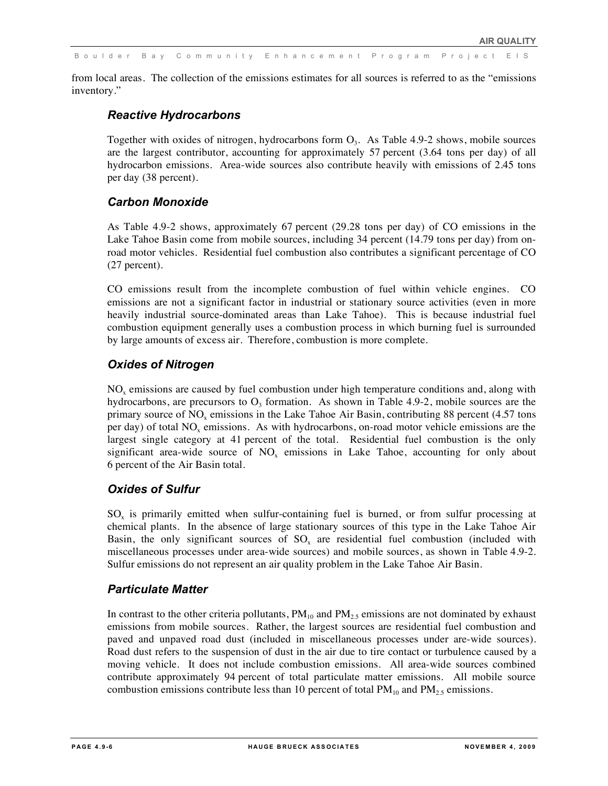from local areas. The collection of the emissions estimates for all sources is referred to as the "emissions inventory."

### *Reactive Hydrocarbons*

Together with oxides of nitrogen, hydrocarbons form  $O<sub>3</sub>$ . As Table 4.9-2 shows, mobile sources are the largest contributor, accounting for approximately 57 percent (3.64 tons per day) of all hydrocarbon emissions. Area-wide sources also contribute heavily with emissions of 2.45 tons per day (38 percent).

### *Carbon Monoxide*

As Table 4.9-2 shows, approximately 67 percent (29.28 tons per day) of CO emissions in the Lake Tahoe Basin come from mobile sources, including 34 percent (14.79 tons per day) from onroad motor vehicles. Residential fuel combustion also contributes a significant percentage of CO (27 percent).

CO emissions result from the incomplete combustion of fuel within vehicle engines. CO emissions are not a significant factor in industrial or stationary source activities (even in more heavily industrial source-dominated areas than Lake Tahoe). This is because industrial fuel combustion equipment generally uses a combustion process in which burning fuel is surrounded by large amounts of excess air. Therefore, combustion is more complete.

### *Oxides of Nitrogen*

 $NO<sub>x</sub>$  emissions are caused by fuel combustion under high temperature conditions and, along with hydrocarbons, are precursors to  $O<sub>3</sub>$  formation. As shown in Table 4.9-2, mobile sources are the primary source of  $NO<sub>x</sub>$  emissions in the Lake Tahoe Air Basin, contributing 88 percent (4.57 tons per day) of total  $NO<sub>x</sub>$  emissions. As with hydrocarbons, on-road motor vehicle emissions are the largest single category at 41 percent of the total. Residential fuel combustion is the only significant area-wide source of  $NO<sub>x</sub>$  emissions in Lake Tahoe, accounting for only about 6 percent of the Air Basin total.

### *Oxides of Sulfur*

 $SO<sub>x</sub>$  is primarily emitted when sulfur-containing fuel is burned, or from sulfur processing at chemical plants. In the absence of large stationary sources of this type in the Lake Tahoe Air Basin, the only significant sources of  $SO_x$  are residential fuel combustion (included with miscellaneous processes under area-wide sources) and mobile sources, as shown in Table 4.9-2. Sulfur emissions do not represent an air quality problem in the Lake Tahoe Air Basin.

### *Particulate Matter*

In contrast to the other criteria pollutants,  $PM_{10}$  and  $PM_{2.5}$  emissions are not dominated by exhaust emissions from mobile sources. Rather, the largest sources are residential fuel combustion and paved and unpaved road dust (included in miscellaneous processes under are-wide sources). Road dust refers to the suspension of dust in the air due to tire contact or turbulence caused by a moving vehicle. It does not include combustion emissions. All area-wide sources combined contribute approximately 94 percent of total particulate matter emissions. All mobile source combustion emissions contribute less than 10 percent of total  $PM_{10}$  and  $PM_{2.5}$  emissions.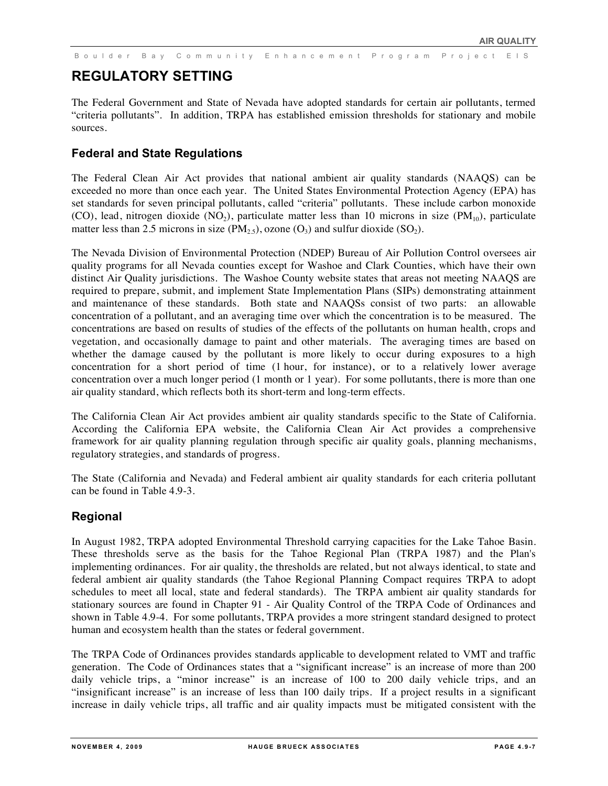# **REGULATORY SETTING**

The Federal Government and State of Nevada have adopted standards for certain air pollutants, termed "criteria pollutants". In addition, TRPA has established emission thresholds for stationary and mobile sources.

### **Federal and State Regulations**

The Federal Clean Air Act provides that national ambient air quality standards (NAAQS) can be exceeded no more than once each year. The United States Environmental Protection Agency (EPA) has set standards for seven principal pollutants, called "criteria" pollutants. These include carbon monoxide (CO), lead, nitrogen dioxide (NO<sub>2</sub>), particulate matter less than 10 microns in size (PM<sub>10</sub>), particulate matter less than 2.5 microns in size  $(PM_{2.5})$ , ozone  $(O_3)$  and sulfur dioxide  $(SO_2)$ .

The Nevada Division of Environmental Protection (NDEP) Bureau of Air Pollution Control oversees air quality programs for all Nevada counties except for Washoe and Clark Counties, which have their own distinct Air Quality jurisdictions. The Washoe County website states that areas not meeting NAAQS are required to prepare, submit, and implement State Implementation Plans (SIPs) demonstrating attainment and maintenance of these standards. Both state and NAAQSs consist of two parts: an allowable concentration of a pollutant, and an averaging time over which the concentration is to be measured. The concentrations are based on results of studies of the effects of the pollutants on human health, crops and vegetation, and occasionally damage to paint and other materials. The averaging times are based on whether the damage caused by the pollutant is more likely to occur during exposures to a high concentration for a short period of time (1 hour, for instance), or to a relatively lower average concentration over a much longer period (1 month or 1 year). For some pollutants, there is more than one air quality standard, which reflects both its short-term and long-term effects.

The California Clean Air Act provides ambient air quality standards specific to the State of California. According the California EPA website, the California Clean Air Act provides a comprehensive framework for air quality planning regulation through specific air quality goals, planning mechanisms, regulatory strategies, and standards of progress.

The State (California and Nevada) and Federal ambient air quality standards for each criteria pollutant can be found in Table 4.9-3.

### **Regional**

In August 1982, TRPA adopted Environmental Threshold carrying capacities for the Lake Tahoe Basin. These thresholds serve as the basis for the Tahoe Regional Plan (TRPA 1987) and the Plan's implementing ordinances. For air quality, the thresholds are related, but not always identical, to state and federal ambient air quality standards (the Tahoe Regional Planning Compact requires TRPA to adopt schedules to meet all local, state and federal standards). The TRPA ambient air quality standards for stationary sources are found in Chapter 91 - Air Quality Control of the TRPA Code of Ordinances and shown in Table 4.9-4. For some pollutants, TRPA provides a more stringent standard designed to protect human and ecosystem health than the states or federal government.

The TRPA Code of Ordinances provides standards applicable to development related to VMT and traffic generation. The Code of Ordinances states that a "significant increase" is an increase of more than 200 daily vehicle trips, a "minor increase" is an increase of 100 to 200 daily vehicle trips, and an "insignificant increase" is an increase of less than 100 daily trips. If a project results in a significant increase in daily vehicle trips, all traffic and air quality impacts must be mitigated consistent with the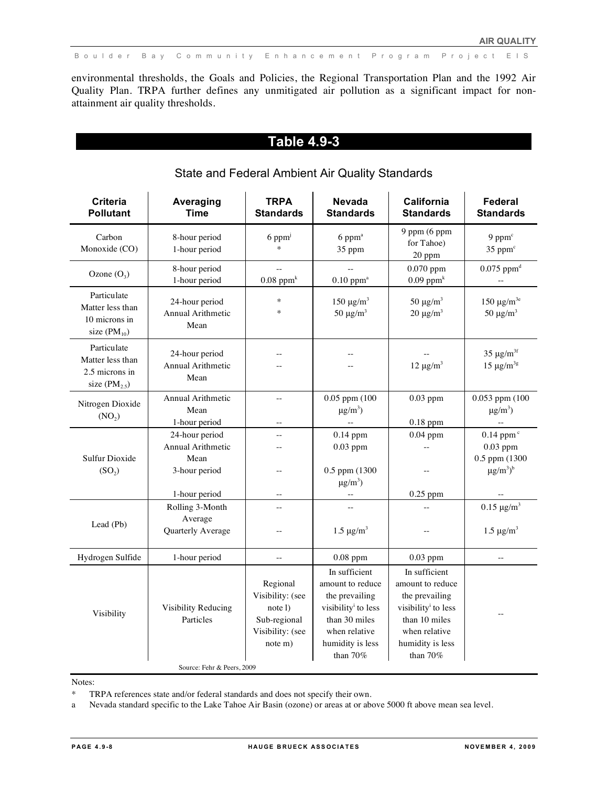environmental thresholds, the Goals and Policies, the Regional Transportation Plan and the 1992 Air Quality Plan. TRPA further defines any unmitigated air pollution as a significant impact for nonattainment air quality thresholds.

# **Table 4.9-3**

| <b>Criteria</b><br><b>Pollutant</b>                                    | Averaging<br><b>Time</b>                                         | <b>TRPA</b><br><b>Standards</b>                                                        | <b>Nevada</b><br><b>Standards</b>                                                                                                                                 | California<br><b>Standards</b>                                                                                                                                    | Federal<br><b>Standards</b>                                               |
|------------------------------------------------------------------------|------------------------------------------------------------------|----------------------------------------------------------------------------------------|-------------------------------------------------------------------------------------------------------------------------------------------------------------------|-------------------------------------------------------------------------------------------------------------------------------------------------------------------|---------------------------------------------------------------------------|
| Carbon<br>Monoxide (CO)                                                | 8-hour period<br>1-hour period                                   | $6$ ppm <sup>j</sup><br>$\ast$                                                         | $6$ pp $m^a$<br>35 ppm                                                                                                                                            | $9$ ppm (6 ppm<br>for Tahoe)<br>$20$ ppm                                                                                                                          | $9$ ppm $\textdegree$<br>35 ppm <sup>c</sup>                              |
| Ozone $(O_3)$                                                          | 8-hour period<br>1-hour period                                   | $0.08$ ppm <sup>k</sup>                                                                | $0.10$ ppm <sup>a</sup>                                                                                                                                           | $0.070$ ppm<br>$0.09$ ppm <sup>k</sup>                                                                                                                            | $0.075$ ppm <sup>d</sup>                                                  |
| Particulate<br>Matter less than<br>10 microns in<br>size $(PM_{10})$   | 24-hour period<br><b>Annual Arithmetic</b><br>Mean               | $\ast$<br>$\ast$                                                                       | $150 \mu g/m^3$<br>50 $\mu$ g/m <sup>3</sup>                                                                                                                      | 50 $\mu$ g/m <sup>3</sup><br>$20 \mu g/m^3$                                                                                                                       | 150 $\mu$ g/m <sup>3e</sup><br>50 $\mu$ g/m <sup>3</sup>                  |
| Particulate<br>Matter less than<br>2.5 microns in<br>size $(PM_{2.5})$ | 24-hour period<br><b>Annual Arithmetic</b><br>Mean               |                                                                                        |                                                                                                                                                                   | $12 \mu g/m^3$                                                                                                                                                    | 35 $\mu$ g/m <sup>3f</sup><br>$15 \mu g/m^{3g}$                           |
| Nitrogen Dioxide<br>(NO <sub>2</sub> )                                 | Annual Arithmetic<br>Mean<br>1-hour period                       | $\sim$                                                                                 | $0.05$ ppm (100<br>$\mu$ g/m <sup>3</sup> )                                                                                                                       | $0.03$ ppm<br>$0.18$ ppm                                                                                                                                          | 0.053 ppm (100<br>$\mu$ g/m <sup>3</sup> )                                |
| <b>Sulfur Dioxide</b><br>(SO <sub>2</sub> )                            | 24-hour period<br>Annual Arithmetic<br>Mean<br>3-hour period     | 44                                                                                     | $0.14$ ppm<br>$0.03$ ppm<br>0.5 ppm (1300<br>$\mu$ g/m <sup>3</sup> )                                                                                             | $0.04$ ppm                                                                                                                                                        | $0.14$ ppm $c$<br>$0.03$ ppm<br>0.5 ppm (1300<br>$\mu g/m^3$ <sup>b</sup> |
| Lead (Pb)                                                              | 1-hour period<br>Rolling 3-Month<br>Average<br>Quarterly Average |                                                                                        | $1.5 \ \mu g/m^3$                                                                                                                                                 | $0.25$ ppm                                                                                                                                                        | $0.15 \ \mu g/m^3$<br>$1.5 \text{ µg/m}^3$                                |
| Hydrogen Sulfide                                                       | 1-hour period                                                    |                                                                                        | $0.08$ ppm                                                                                                                                                        | $0.03$ ppm                                                                                                                                                        |                                                                           |
| Visibility                                                             | Visibility Reducing<br>Particles                                 | Regional<br>Visibility: (see<br>note 1)<br>Sub-regional<br>Visibility: (see<br>note m) | In sufficient<br>amount to reduce<br>the prevailing<br>visibility <sup><i>i</i></sup> to less<br>than 30 miles<br>when relative<br>humidity is less<br>than $70%$ | In sufficient<br>amount to reduce<br>the prevailing<br>visibility <sup><i>i</i></sup> to less<br>than 10 miles<br>when relative<br>humidity is less<br>than $70%$ |                                                                           |
|                                                                        | Source: Fehr & Peers, 2009                                       |                                                                                        |                                                                                                                                                                   |                                                                                                                                                                   |                                                                           |

### State and Federal Ambient Air Quality Standards

Notes:

\* TRPA references state and/or federal standards and does not specify their own.

a Nevada standard specific to the Lake Tahoe Air Basin (ozone) or areas at or above 5000 ft above mean sea level.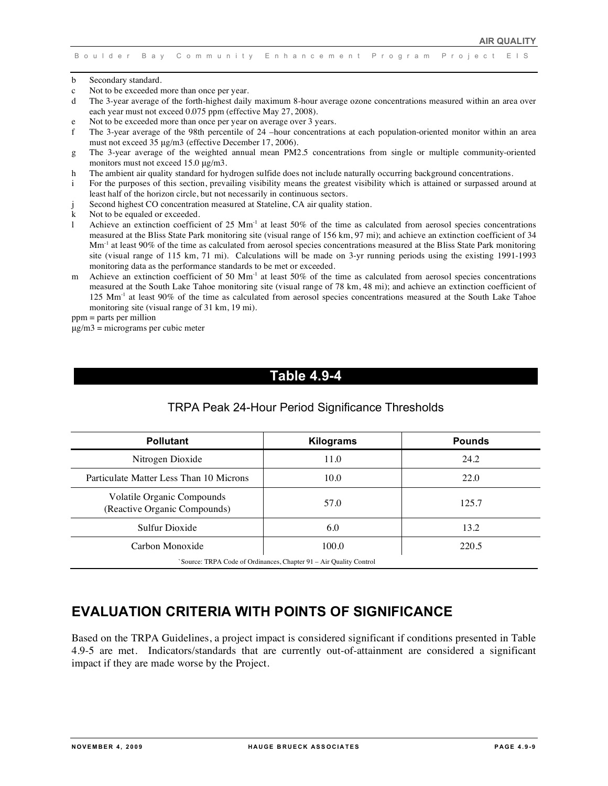- b Secondary standard.
- c Not to be exceeded more than once per year.
- d The 3-year average of the forth-highest daily maximum 8-hour average ozone concentrations measured within an area over each year must not exceed 0.075 ppm (effective May 27, 2008).
- e Not to be exceeded more than once per year on average over 3 years.
- f The 3-year average of the 98th percentile of 24 –hour concentrations at each population-oriented monitor within an area must not exceed 35 μg/m3 (effective December 17, 2006).
- g The 3-year average of the weighted annual mean PM2.5 concentrations from single or multiple community-oriented monitors must not exceed 15.0 μg/m3.
- h The ambient air quality standard for hydrogen sulfide does not include naturally occurring background concentrations.
- i For the purposes of this section, prevailing visibility means the greatest visibility which is attained or surpassed around at least half of the horizon circle, but not necessarily in continuous sectors.
- Second highest CO concentration measured at Stateline, CA air quality station.
- k Not to be equaled or exceeded.
- 1 Achieve an extinction coefficient of 25  $Mm<sup>-1</sup>$  at least 50% of the time as calculated from aerosol species concentrations measured at the Bliss State Park monitoring site (visual range of 156 km, 97 mi); and achieve an extinction coefficient of 34 Mm<sup>-1</sup> at least 90% of the time as calculated from aerosol species concentrations measured at the Bliss State Park monitoring site (visual range of 115 km, 71 mi). Calculations will be made on 3-yr running periods using the existing 1991-1993 monitoring data as the performance standards to be met or exceeded.
- m Achieve an extinction coefficient of 50  $\text{Mm}^{-1}$  at least 50% of the time as calculated from aerosol species concentrations measured at the South Lake Tahoe monitoring site (visual range of 78 km, 48 mi); and achieve an extinction coefficient of 125 Mm<sup>-1</sup> at least 90% of the time as calculated from aerosol species concentrations measured at the South Lake Tahoe monitoring site (visual range of 31 km, 19 mi).

ppm = parts per million

## **Table 4.9-4**

### TRPA Peak 24-Hour Period Significance Thresholds

| <b>Pollutant</b>                                           | <b>Kilograms</b>                                                  | <b>Pounds</b> |
|------------------------------------------------------------|-------------------------------------------------------------------|---------------|
| Nitrogen Dioxide                                           | 11.0                                                              | 24.2          |
| Particulate Matter Less Than 10 Microns                    | 10.0                                                              | 22.0          |
| Volatile Organic Compounds<br>(Reactive Organic Compounds) | 57.0                                                              | 125.7         |
| Sulfur Dioxide                                             | 6.0                                                               | 13.2          |
| Carbon Monoxide                                            | 100.0                                                             | 220.5         |
|                                                            | Source: TRPA Code of Ordinances, Chapter 91 – Air Quality Control |               |

# **EVALUATION CRITERIA WITH POINTS OF SIGNIFICANCE**

Based on the TRPA Guidelines, a project impact is considered significant if conditions presented in Table 4.9-5 are met. Indicators/standards that are currently out-of-attainment are considered a significant impact if they are made worse by the Project.

μg/m3 = micrograms per cubic meter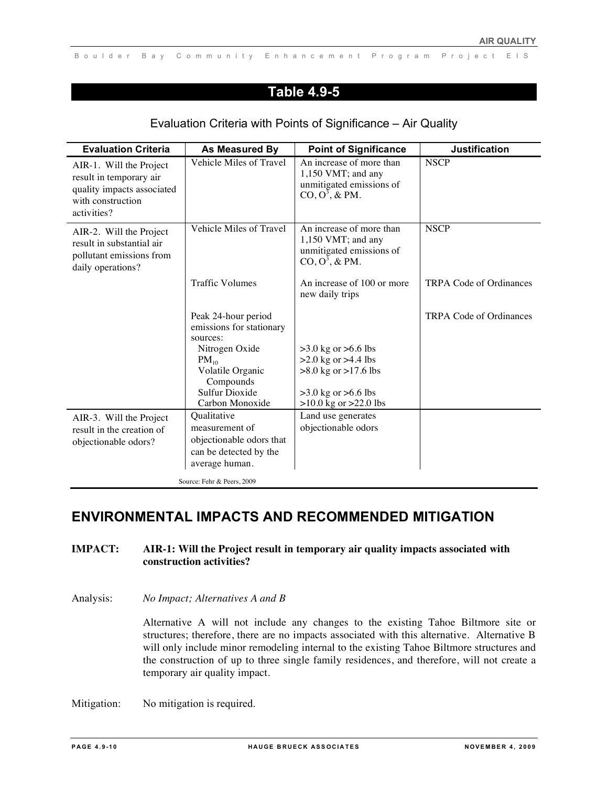# **Table 4.9-5**

| <b>Evaluation Criteria</b>                                                                                           | As Measured By                                              | <b>Point of Significance</b>                                                                         | <b>Justification</b>           |
|----------------------------------------------------------------------------------------------------------------------|-------------------------------------------------------------|------------------------------------------------------------------------------------------------------|--------------------------------|
| AIR-1. Will the Project<br>result in temporary air<br>quality impacts associated<br>with construction<br>activities? | Vehicle Miles of Travel                                     | An increase of more than<br>$1,150$ VMT; and any<br>unmitigated emissions of<br>$CO$ , $O^3$ , & PM. | <b>NSCP</b>                    |
| AIR-2. Will the Project<br>result in substantial air<br>pollutant emissions from<br>daily operations?                | Vehicle Miles of Travel                                     | An increase of more than<br>1,150 VMT; and any<br>unmitigated emissions of<br>$CO$ , $O^3$ , & PM.   | <b>NSCP</b>                    |
|                                                                                                                      | <b>Traffic Volumes</b>                                      | An increase of 100 or more<br>new daily trips                                                        | <b>TRPA Code of Ordinances</b> |
|                                                                                                                      | Peak 24-hour period<br>emissions for stationary<br>sources: |                                                                                                      | <b>TRPA Code of Ordinances</b> |
|                                                                                                                      | Nitrogen Oxide                                              | $>3.0$ kg or $>6.6$ lbs                                                                              |                                |
|                                                                                                                      | $PM_{10}$                                                   | $>2.0$ kg or $>4.4$ lbs                                                                              |                                |
|                                                                                                                      | Volatile Organic<br>Compounds                               | $>8.0$ kg or $>17.6$ lbs                                                                             |                                |
|                                                                                                                      | <b>Sulfur Dioxide</b>                                       | $>3.0$ kg or $>6.6$ lbs                                                                              |                                |
|                                                                                                                      | Carbon Monoxide                                             | $>10.0$ kg or $>22.0$ lbs                                                                            |                                |
| AIR-3. Will the Project                                                                                              | Qualitative                                                 | Land use generates                                                                                   |                                |
| result in the creation of                                                                                            | measurement of                                              | objectionable odors                                                                                  |                                |
| objectionable odors?                                                                                                 | objectionable odors that                                    |                                                                                                      |                                |
|                                                                                                                      | can be detected by the                                      |                                                                                                      |                                |
|                                                                                                                      | average human.                                              |                                                                                                      |                                |
|                                                                                                                      | Source: Fehr & Peers, 2009                                  |                                                                                                      |                                |

### Evaluation Criteria with Points of Significance – Air Quality

# **ENVIRONMENTAL IMPACTS AND RECOMMENDED MITIGATION**

### **IMPACT: AIR-1: Will the Project result in temporary air quality impacts associated with construction activities?**

#### Analysis: *No Impact; Alternatives A and B*

Alternative A will not include any changes to the existing Tahoe Biltmore site or structures; therefore, there are no impacts associated with this alternative. Alternative B will only include minor remodeling internal to the existing Tahoe Biltmore structures and the construction of up to three single family residences, and therefore, will not create a temporary air quality impact.

Mitigation: No mitigation is required.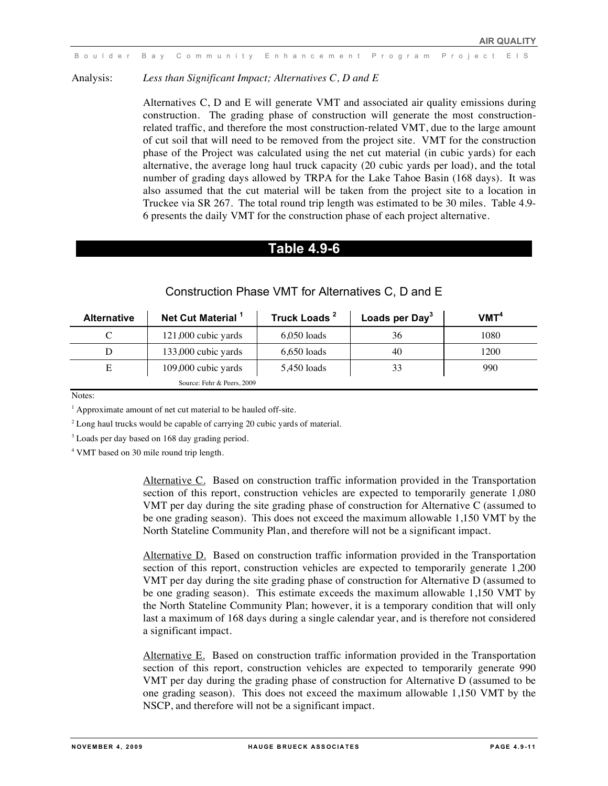Analysis: *Less than Significant Impact; Alternatives C, D and E*

Alternatives C, D and E will generate VMT and associated air quality emissions during construction. The grading phase of construction will generate the most constructionrelated traffic, and therefore the most construction-related VMT, due to the large amount of cut soil that will need to be removed from the project site. VMT for the construction phase of the Project was calculated using the net cut material (in cubic yards) for each alternative, the average long haul truck capacity (20 cubic yards per load), and the total number of grading days allowed by TRPA for the Lake Tahoe Basin (168 days). It was also assumed that the cut material will be taken from the project site to a location in Truckee via SR 267. The total round trip length was estimated to be 30 miles. Table 4.9- 6 presents the daily VMT for the construction phase of each project alternative.

### **Table 4.9-6**

| <b>Alternative</b> | Net Cut Material <sup>1</sup> | Truck Loads <sup>2</sup> | Loads per Day <sup>3</sup> | $V$ MT <sup>4</sup> |
|--------------------|-------------------------------|--------------------------|----------------------------|---------------------|
|                    | 121,000 cubic yards           | $6,050$ loads            | 36                         | 1080                |
| D                  | 133,000 cubic yards           | $6,650$ loads            | 40                         | 1200                |
| E                  | 109,000 cubic yards           | 5,450 loads              | 33                         | 990                 |
|                    | Source: Fehr & Peers, 2009    |                          |                            |                     |

#### Construction Phase VMT for Alternatives C, D and E

Notes:

<sup>1</sup> Approximate amount of net cut material to be hauled off-site.

 $2$  Long haul trucks would be capable of carrying 20 cubic yards of material.

<sup>3</sup> Loads per day based on 168 day grading period.

4 VMT based on 30 mile round trip length.

Alternative C. Based on construction traffic information provided in the Transportation section of this report, construction vehicles are expected to temporarily generate 1,080 VMT per day during the site grading phase of construction for Alternative C (assumed to be one grading season). This does not exceed the maximum allowable 1,150 VMT by the North Stateline Community Plan, and therefore will not be a significant impact.

Alternative D. Based on construction traffic information provided in the Transportation section of this report, construction vehicles are expected to temporarily generate 1,200 VMT per day during the site grading phase of construction for Alternative D (assumed to be one grading season). This estimate exceeds the maximum allowable 1,150 VMT by the North Stateline Community Plan; however, it is a temporary condition that will only last a maximum of 168 days during a single calendar year, and is therefore not considered a significant impact.

Alternative E. Based on construction traffic information provided in the Transportation section of this report, construction vehicles are expected to temporarily generate 990 VMT per day during the grading phase of construction for Alternative D (assumed to be one grading season). This does not exceed the maximum allowable 1,150 VMT by the NSCP, and therefore will not be a significant impact.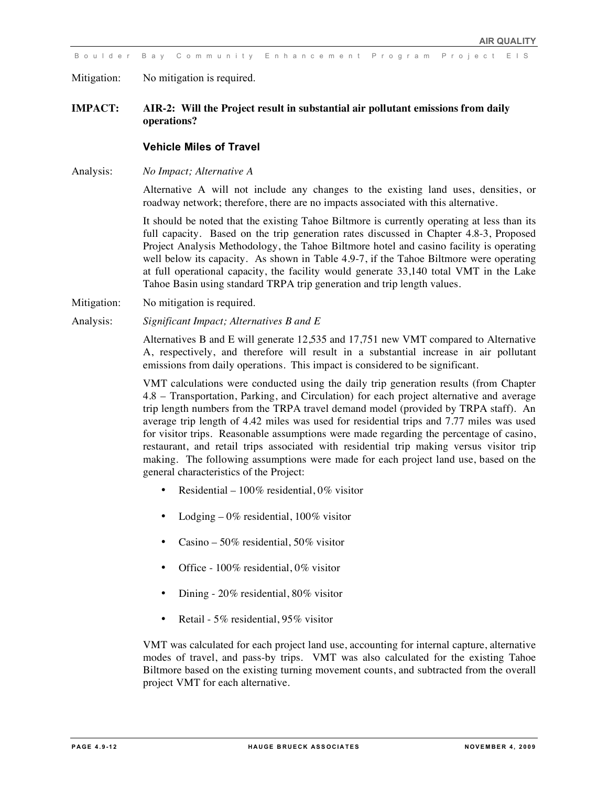Mitigation: No mitigation is required.

#### **IMPACT: AIR-2: Will the Project result in substantial air pollutant emissions from daily operations?**

#### **Vehicle Miles of Travel**

Analysis: *No Impact; Alternative A*

Alternative A will not include any changes to the existing land uses, densities, or roadway network; therefore, there are no impacts associated with this alternative.

It should be noted that the existing Tahoe Biltmore is currently operating at less than its full capacity. Based on the trip generation rates discussed in Chapter 4.8-3, Proposed Project Analysis Methodology, the Tahoe Biltmore hotel and casino facility is operating well below its capacity. As shown in Table 4.9-7, if the Tahoe Biltmore were operating at full operational capacity, the facility would generate 33,140 total VMT in the Lake Tahoe Basin using standard TRPA trip generation and trip length values.

- Mitigation: No mitigation is required.
- Analysis: *Significant Impact; Alternatives B and E*

Alternatives B and E will generate 12,535 and 17,751 new VMT compared to Alternative A, respectively, and therefore will result in a substantial increase in air pollutant emissions from daily operations. This impact is considered to be significant.

VMT calculations were conducted using the daily trip generation results (from Chapter 4.8 – Transportation, Parking, and Circulation) for each project alternative and average trip length numbers from the TRPA travel demand model (provided by TRPA staff). An average trip length of 4.42 miles was used for residential trips and 7.77 miles was used for visitor trips. Reasonable assumptions were made regarding the percentage of casino, restaurant, and retail trips associated with residential trip making versus visitor trip making. The following assumptions were made for each project land use, based on the general characteristics of the Project:

- Residential 100% residential, 0% visitor
- Lodging  $-0\%$  residential, 100% visitor
- Casino 50% residential, 50% visitor
- Office 100% residential, 0% visitor
- Dining 20% residential, 80% visitor
- Retail 5% residential, 95% visitor

VMT was calculated for each project land use, accounting for internal capture, alternative modes of travel, and pass-by trips. VMT was also calculated for the existing Tahoe Biltmore based on the existing turning movement counts, and subtracted from the overall project VMT for each alternative.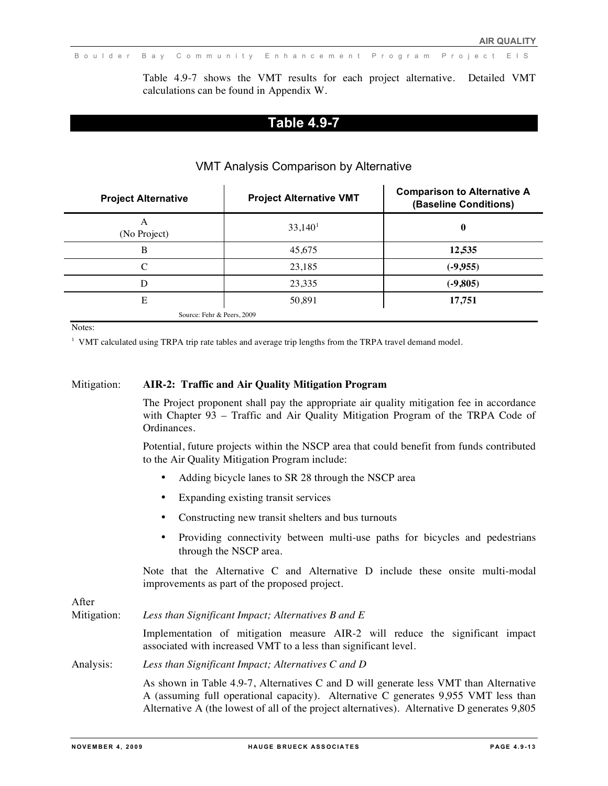Table 4.9-7 shows the VMT results for each project alternative. Detailed VMT calculations can be found in Appendix W.

### **Table 4.9-7**

| <b>Project Alternative</b> | <b>Project Alternative VMT</b> | <b>Comparison to Alternative A</b><br>(Baseline Conditions) |
|----------------------------|--------------------------------|-------------------------------------------------------------|
| A<br>(No Project)          | 33,140 <sup>1</sup>            | 0                                                           |
| B                          | 45,675                         | 12,535                                                      |
| C                          | 23,185                         | $(-9,955)$                                                  |
| D                          | 23,335                         | $(-9,805)$                                                  |
| E                          | 50,891                         | 17,751                                                      |
|                            | Source: Fehr & Peers, 2009     |                                                             |

### VMT Analysis Comparison by Alternative

Notes:

<sup>1</sup> VMT calculated using TRPA trip rate tables and average trip lengths from the TRPA travel demand model.

#### Mitigation: **AIR-2: Traffic and Air Quality Mitigation Program**

The Project proponent shall pay the appropriate air quality mitigation fee in accordance with Chapter 93 – Traffic and Air Quality Mitigation Program of the TRPA Code of Ordinances.

Potential, future projects within the NSCP area that could benefit from funds contributed to the Air Quality Mitigation Program include:

- Adding bicycle lanes to SR 28 through the NSCP area
- Expanding existing transit services
- Constructing new transit shelters and bus turnouts
- Providing connectivity between multi-use paths for bicycles and pedestrians through the NSCP area.

Note that the Alternative C and Alternative D include these onsite multi-modal improvements as part of the proposed project.

After

Mitigation: *Less than Significant Impact; Alternatives B and E* Implementation of mitigation measure AIR-2 will reduce the significant impact associated with increased VMT to a less than significant level. Analysis: *Less than Significant Impact; Alternatives C and D* As shown in Table 4.9-7, Alternatives C and D will generate less VMT than Alternative A (assuming full operational capacity). Alternative C generates 9,955 VMT less than Alternative A (the lowest of all of the project alternatives). Alternative D generates 9,805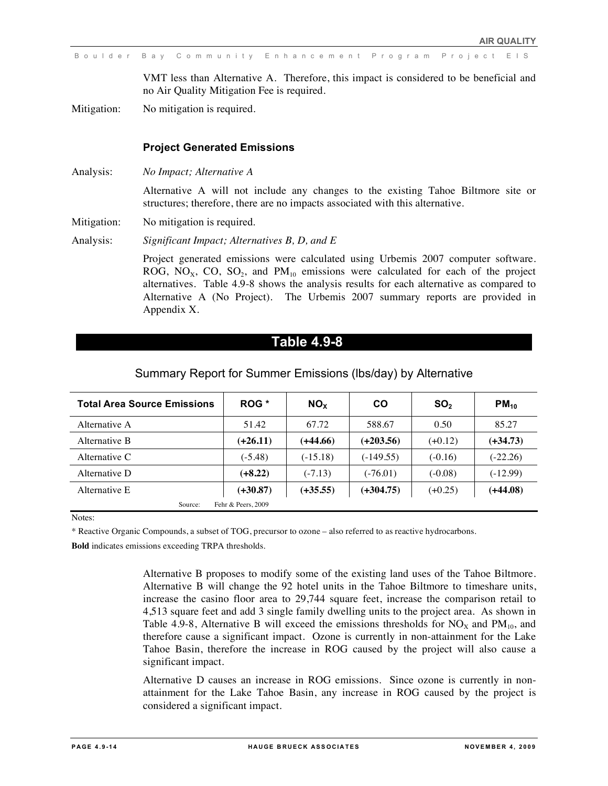VMT less than Alternative A. Therefore, this impact is considered to be beneficial and no Air Quality Mitigation Fee is required.

Mitigation: No mitigation is required.

#### **Project Generated Emissions**

Analysis: *No Impact; Alternative A*

Alternative A will not include any changes to the existing Tahoe Biltmore site or structures; therefore, there are no impacts associated with this alternative.

Mitigation: No mitigation is required.

Analysis: *Significant Impact; Alternatives B, D, and E*

Project generated emissions were calculated using Urbemis 2007 computer software. ROG, NO<sub>x</sub>, CO, SO<sub>2</sub>, and PM<sub>10</sub> emissions were calculated for each of the project alternatives. Table 4.9-8 shows the analysis results for each alternative as compared to Alternative A (No Project). The Urbemis 2007 summary reports are provided in Appendix X.

### **Table 4.9-8**

| <b>Total Area Source Emissions</b> | ROG *              | NO <sub>x</sub> | <b>CO</b>   | SO <sub>2</sub> | $PM_{10}$  |
|------------------------------------|--------------------|-----------------|-------------|-----------------|------------|
| Alternative A                      | 51.42              | 67.72           | 588.67      | 0.50            | 85.27      |
| Alternative B                      | $(+26.11)$         | (+44.66)        | $(+203.56)$ | $(+0.12)$       | $(+34.73)$ |
| Alternative C                      | $(-5.48)$          | $(-15.18)$      | $(-149.55)$ | $(-0.16)$       | $(-22.26)$ |
| Alternative D                      | $(+8.22)$          | $(-7.13)$       | $(-76.01)$  | $(-0.08)$       | $(-12.99)$ |
| Alternative E                      | $(+30.87)$         | $(+35.55)$      | $(+304.75)$ | $(+0.25)$       | $(+44.08)$ |
| Source:                            | Fehr & Peers, 2009 |                 |             |                 |            |

#### Summary Report for Summer Emissions (lbs/day) by Alternative

Notes:

\* Reactive Organic Compounds, a subset of TOG, precursor to ozone – also referred to as reactive hydrocarbons.

**Bold** indicates emissions exceeding TRPA thresholds.

Alternative B proposes to modify some of the existing land uses of the Tahoe Biltmore. Alternative B will change the 92 hotel units in the Tahoe Biltmore to timeshare units, increase the casino floor area to 29,744 square feet, increase the comparison retail to 4,513 square feet and add 3 single family dwelling units to the project area. As shown in Table 4.9-8, Alternative B will exceed the emissions thresholds for  $NO<sub>x</sub>$  and  $PM<sub>10</sub>$ , and therefore cause a significant impact. Ozone is currently in non-attainment for the Lake Tahoe Basin, therefore the increase in ROG caused by the project will also cause a significant impact.

Alternative D causes an increase in ROG emissions. Since ozone is currently in nonattainment for the Lake Tahoe Basin, any increase in ROG caused by the project is considered a significant impact.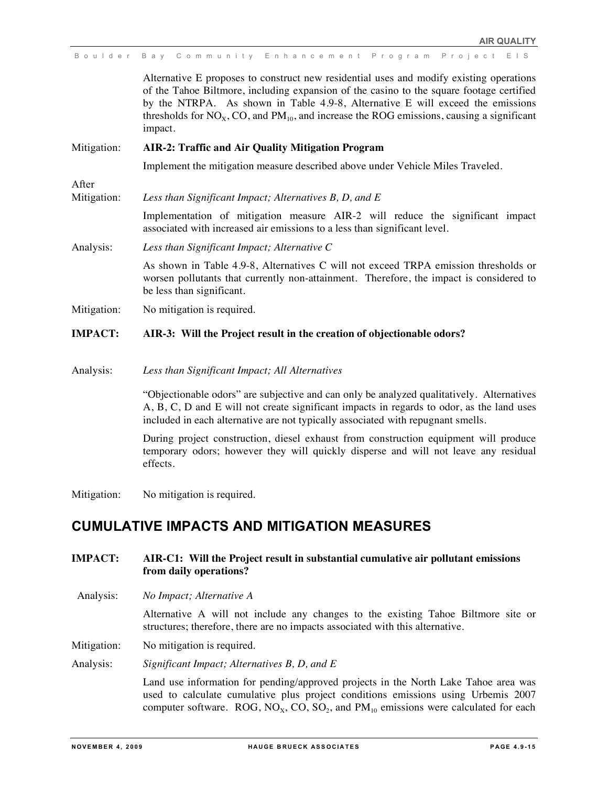|                | Boulder Bay Community Enhancement Program Project EIS                                                                                                                                                                                                                                                                                                                             |
|----------------|-----------------------------------------------------------------------------------------------------------------------------------------------------------------------------------------------------------------------------------------------------------------------------------------------------------------------------------------------------------------------------------|
|                | Alternative E proposes to construct new residential uses and modify existing operations<br>of the Tahoe Biltmore, including expansion of the casino to the square footage certified<br>by the NTRPA. As shown in Table 4.9-8, Alternative E will exceed the emissions<br>thresholds for $NOx$ , CO, and $PM10$ , and increase the ROG emissions, causing a significant<br>impact. |
| Mitigation:    | <b>AIR-2: Traffic and Air Quality Mitigation Program</b>                                                                                                                                                                                                                                                                                                                          |
|                | Implement the mitigation measure described above under Vehicle Miles Traveled.                                                                                                                                                                                                                                                                                                    |
| After          |                                                                                                                                                                                                                                                                                                                                                                                   |
| Mitigation:    | Less than Significant Impact; Alternatives B, D, and E                                                                                                                                                                                                                                                                                                                            |
|                | Implementation of mitigation measure AIR-2 will reduce the significant impact<br>associated with increased air emissions to a less than significant level.                                                                                                                                                                                                                        |
| Analysis:      | Less than Significant Impact; Alternative C                                                                                                                                                                                                                                                                                                                                       |
|                | As shown in Table 4.9-8, Alternatives C will not exceed TRPA emission thresholds or<br>worsen pollutants that currently non-attainment. Therefore, the impact is considered to<br>be less than significant.                                                                                                                                                                       |
| Mitigation:    | No mitigation is required.                                                                                                                                                                                                                                                                                                                                                        |
| <b>IMPACT:</b> | AIR-3: Will the Project result in the creation of objectionable odors?                                                                                                                                                                                                                                                                                                            |
|                |                                                                                                                                                                                                                                                                                                                                                                                   |

Analysis: *Less than Significant Impact; All Alternatives*

"Objectionable odors" are subjective and can only be analyzed qualitatively. Alternatives A, B, C, D and E will not create significant impacts in regards to odor, as the land uses included in each alternative are not typically associated with repugnant smells.

During project construction, diesel exhaust from construction equipment will produce temporary odors; however they will quickly disperse and will not leave any residual effects.

Mitigation: No mitigation is required.

# **CUMULATIVE IMPACTS AND MITIGATION MEASURES**

- **IMPACT: AIR-C1: Will the Project result in substantial cumulative air pollutant emissions from daily operations?**
- Analysis: *No Impact; Alternative A*

Alternative A will not include any changes to the existing Tahoe Biltmore site or structures; therefore, there are no impacts associated with this alternative.

Mitigation: No mitigation is required.

Analysis: *Significant Impact; Alternatives B, D, and E*

Land use information for pending/approved projects in the North Lake Tahoe area was used to calculate cumulative plus project conditions emissions using Urbemis 2007 computer software. ROG,  $NO<sub>x</sub>$ , CO,  $SO<sub>2</sub>$ , and  $PM<sub>10</sub>$  emissions were calculated for each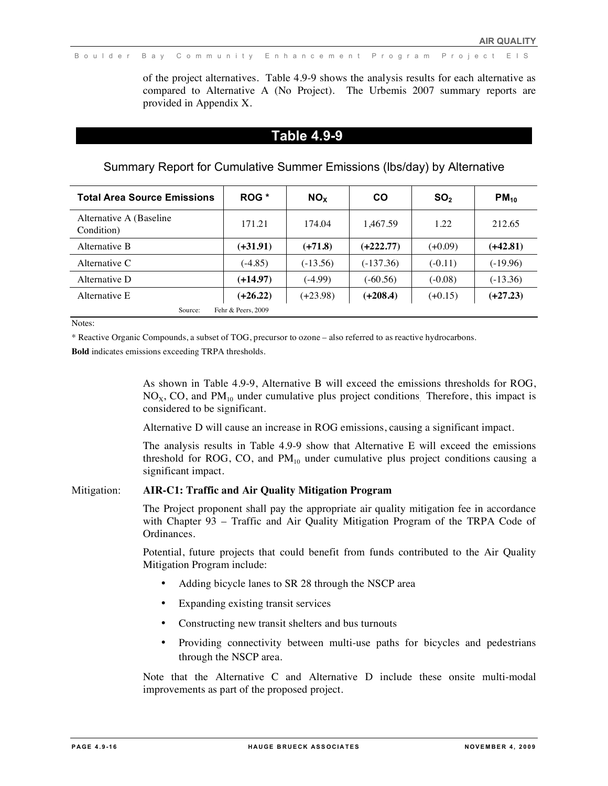of the project alternatives. Table 4.9-9 shows the analysis results for each alternative as compared to Alternative A (No Project). The Urbemis 2007 summary reports are provided in Appendix X.

#### **Table 4.9-9**

Summary Report for Cumulative Summer Emissions (lbs/day) by Alternative

| <b>Total Area Source Emissions</b>     | ROG *              | <b>NO<sub>x</sub></b> | <b>CO</b>   | SO <sub>2</sub> | $PM_{10}$  |
|----------------------------------------|--------------------|-----------------------|-------------|-----------------|------------|
| Alternative A (Baseline)<br>Condition) | 171.21             | 174.04                | 1.467.59    | 1.22            | 212.65     |
| Alternative B                          | $(+31.91)$         | $(+71.8)$             | $(+222.77)$ | $(+0.09)$       | $(+42.81)$ |
| Alternative C                          | $(-4.85)$          | $(-13.56)$            | $(-137.36)$ | $(-0.11)$       | $(-19.96)$ |
| Alternative D                          | $(+14.97)$         | $(-4.99)$             | $(-60.56)$  | $(-0.08)$       | $(-13.36)$ |
| Alternative E                          | $(+26.22)$         | $(+23.98)$            | $(+208.4)$  | $(+0.15)$       | $(+27.23)$ |
| Source:                                | Fehr & Peers, 2009 |                       |             |                 |            |

Notes:

\* Reactive Organic Compounds, a subset of TOG, precursor to ozone – also referred to as reactive hydrocarbons.

**Bold** indicates emissions exceeding TRPA thresholds.

As shown in Table 4.9-9, Alternative B will exceed the emissions thresholds for ROG,  $NO<sub>x</sub>$ , CO, and PM<sub>10</sub> under cumulative plus project conditions. Therefore, this impact is considered to be significant.

Alternative D will cause an increase in ROG emissions, causing a significant impact.

The analysis results in Table 4.9-9 show that Alternative E will exceed the emissions threshold for ROG, CO, and  $PM_{10}$  under cumulative plus project conditions causing a significant impact.

#### Mitigation: **AIR-C1: Traffic and Air Quality Mitigation Program**

The Project proponent shall pay the appropriate air quality mitigation fee in accordance with Chapter 93 – Traffic and Air Quality Mitigation Program of the TRPA Code of Ordinances.

Potential, future projects that could benefit from funds contributed to the Air Quality Mitigation Program include:

- Adding bicycle lanes to SR 28 through the NSCP area
- Expanding existing transit services
- Constructing new transit shelters and bus turnouts
- Providing connectivity between multi-use paths for bicycles and pedestrians through the NSCP area.

Note that the Alternative C and Alternative D include these onsite multi-modal improvements as part of the proposed project.